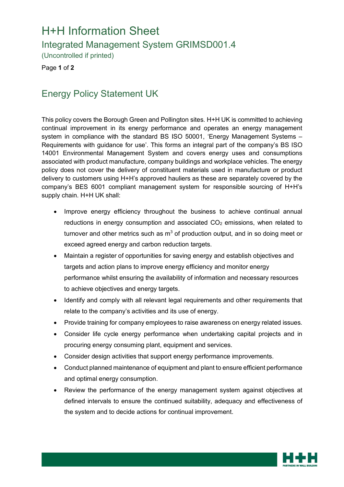## H+H Information Sheet

Integrated Management System GRIMSD001.4

(Uncontrolled if printed)

Page **1** of **2**

## Energy Policy Statement UK

This policy covers the Borough Green and Pollington sites. H+H UK is committed to achieving continual improvement in its energy performance and operates an energy management system in compliance with the standard BS ISO 50001, 'Energy Management Systems – Requirements with guidance for use'. This forms an integral part of the company's BS ISO 14001 Environmental Management System and covers energy uses and consumptions associated with product manufacture, company buildings and workplace vehicles. The energy policy does not cover the delivery of constituent materials used in manufacture or product delivery to customers using H+H's approved hauliers as these are separately covered by the company's BES 6001 compliant management system for responsible sourcing of H+H's supply chain. H+H UK shall:

- Improve energy efficiency throughout the business to achieve continual annual reductions in energy consumption and associated  $CO<sub>2</sub>$  emissions, when related to turnover and other metrics such as  $m<sup>3</sup>$  of production output, and in so doing meet or exceed agreed energy and carbon reduction targets.
- Maintain a register of opportunities for saving energy and establish objectives and targets and action plans to improve energy efficiency and monitor energy performance whilst ensuring the availability of information and necessary resources to achieve objectives and energy targets.
- Identify and comply with all relevant legal requirements and other requirements that relate to the company's activities and its use of energy.
- Provide training for company employees to raise awareness on energy related issues.
- Consider life cycle energy performance when undertaking capital projects and in procuring energy consuming plant, equipment and services.
- Consider design activities that support energy performance improvements.
- Conduct planned maintenance of equipment and plant to ensure efficient performance and optimal energy consumption.
- Review the performance of the energy management system against objectives at defined intervals to ensure the continued suitability, adequacy and effectiveness of the system and to decide actions for continual improvement.